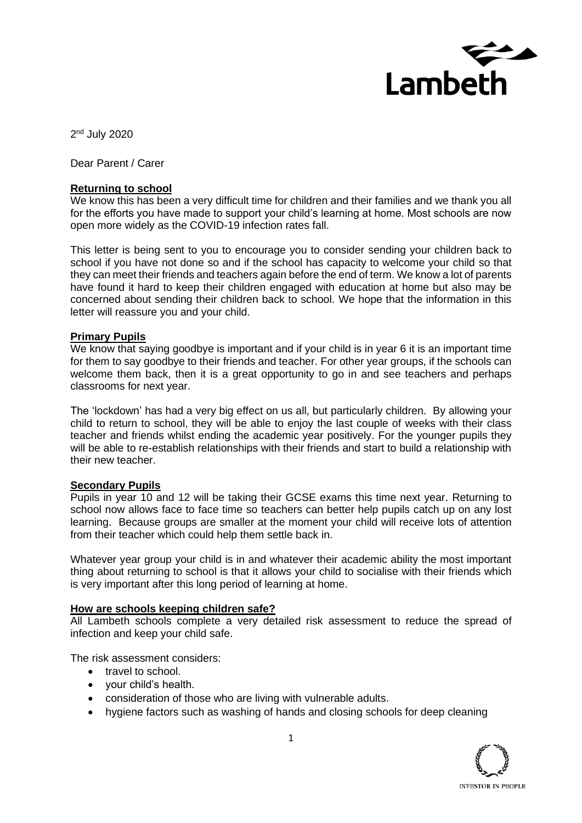

2<sup>nd</sup> July 2020

Dear Parent / Carer

#### **Returning to school**

We know this has been a very difficult time for children and their families and we thank you all for the efforts you have made to support your child's learning at home. Most schools are now open more widely as the COVID-19 infection rates fall.

This letter is being sent to you to encourage you to consider sending your children back to school if you have not done so and if the school has capacity to welcome your child so that they can meet their friends and teachers again before the end of term. We know a lot of parents have found it hard to keep their children engaged with education at home but also may be concerned about sending their children back to school. We hope that the information in this letter will reassure you and your child.

#### **Primary Pupils**

We know that saying goodbye is important and if your child is in year 6 it is an important time for them to say goodbye to their friends and teacher. For other year groups, if the schools can welcome them back, then it is a great opportunity to go in and see teachers and perhaps classrooms for next year.

The 'lockdown' has had a very big effect on us all, but particularly children. By allowing your child to return to school, they will be able to enjoy the last couple of weeks with their class teacher and friends whilst ending the academic year positively. For the younger pupils they will be able to re-establish relationships with their friends and start to build a relationship with their new teacher.

#### **Secondary Pupils**

Pupils in year 10 and 12 will be taking their GCSE exams this time next year. Returning to school now allows face to face time so teachers can better help pupils catch up on any lost learning. Because groups are smaller at the moment your child will receive lots of attention from their teacher which could help them settle back in.

Whatever year group your child is in and whatever their academic ability the most important thing about returning to school is that it allows your child to socialise with their friends which is very important after this long period of learning at home.

#### **How are schools keeping children safe?**

All Lambeth schools complete a very detailed risk assessment to reduce the spread of infection and keep your child safe.

The risk assessment considers:

- travel to school.
- your child's health.
- consideration of those who are living with vulnerable adults.
- hygiene factors such as washing of hands and closing schools for deep cleaning

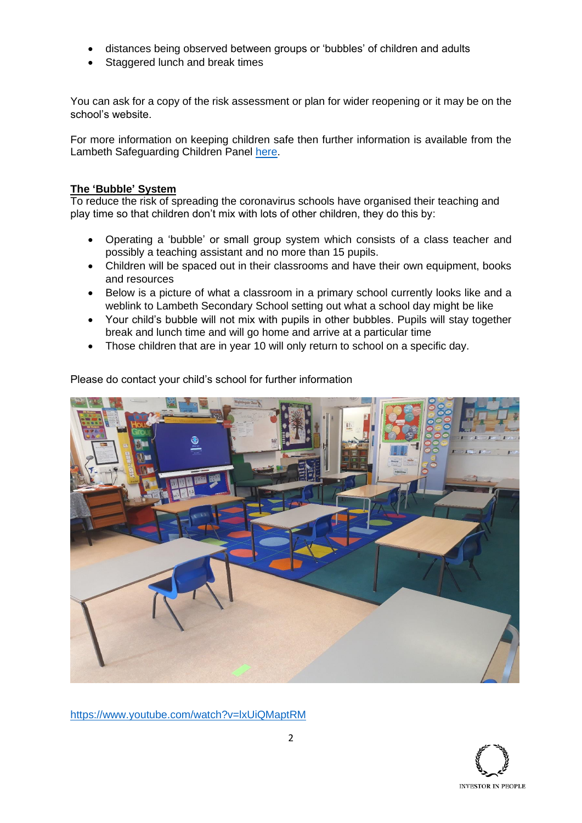- distances being observed between groups or 'bubbles' of children and adults
- Staggered lunch and break times

You can ask for a copy of the risk assessment or plan for wider reopening or it may be on the school's website.

For more information on keeping children safe then further information is available from the Lambeth Safeguarding Children Panel [here.](https://www.lambethsaferchildren.org.uk/for-parents-1)

## **The 'Bubble' System**

To reduce the risk of spreading the coronavirus schools have organised their teaching and play time so that children don't mix with lots of other children, they do this by:

- Operating a 'bubble' or small group system which consists of a class teacher and possibly a teaching assistant and no more than 15 pupils.
- Children will be spaced out in their classrooms and have their own equipment, books and resources
- Below is a picture of what a classroom in a primary school currently looks like and a weblink to Lambeth Secondary School setting out what a school day might be like
- Your child's bubble will not mix with pupils in other bubbles. Pupils will stay together break and lunch time and will go home and arrive at a particular time
- Those children that are in year 10 will only return to school on a specific day.



Please do contact your child's school for further information

<https://www.youtube.com/watch?v=lxUiQMaptRM>

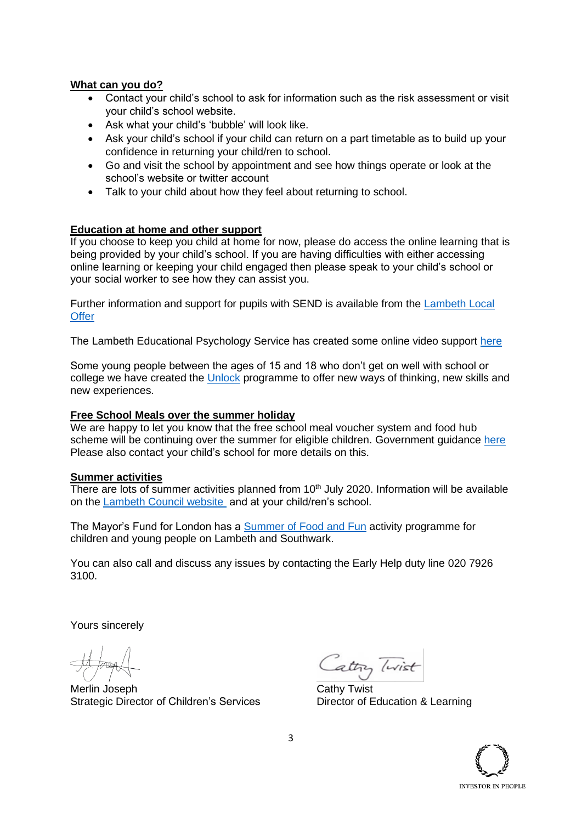## **What can you do?**

- Contact your child's school to ask for information such as the risk assessment or visit your child's school website.
- Ask what your child's 'bubble' will look like.
- Ask your child's school if your child can return on a part timetable as to build up your confidence in returning your child/ren to school.
- Go and visit the school by appointment and see how things operate or look at the school's website or twitter account
- Talk to your child about how they feel about returning to school.

# **Education at home and other support**

If you choose to keep you child at home for now, please do access the online learning that is being provided by your child's school. If you are having difficulties with either accessing online learning or keeping your child engaged then please speak to your child's school or your social worker to see how they can assist you.

Further information and support for pupils with SEND is available from the Lambeth Local **[Offer](https://www.lambeth.gov.uk/send-local-offer)** 

The Lambeth Educational Psychology Service has created some online video support [here](https://www.youtube.com/watch?v=tMdvbO5k8dU)

Some young people between the ages of 15 and 18 who don't get on well with school or college we have created the [Unlock](https://lambethmade.org/unlock/) programme to offer new ways of thinking, new skills and new experiences.

## **Free School Meals over the summer holiday**

We are happy to let you know that the free school meal voucher system and food hub scheme will be continuing over the summer for eligible children. Government guidance here Please also contact your child's school for more details on this.

## **Summer activities**

There are lots of summer activities planned from  $10<sup>th</sup>$  July 2020. Information will be available on the [Lambeth Council website](https://www.lambeth.gov.uk/Summer2020) and at your child/ren's school.

The Mayor's Fund for London has a [Summer of Food and Fun](https://www.mayorsfundforlondon.org.uk/wp-content/uploads/2020/06/DBG0177-Kitchen-Social-Design-AW-Digital-Version.pdf) activity programme for children and young people on Lambeth and Southwark.

You can also call and discuss any issues by contacting the Early Help duty line 020 7926 3100.

Yours sincerely

Merlin Joseph **Cathy Twist** Strategic Director of Children's Services Director of Education & Learning

attry livist